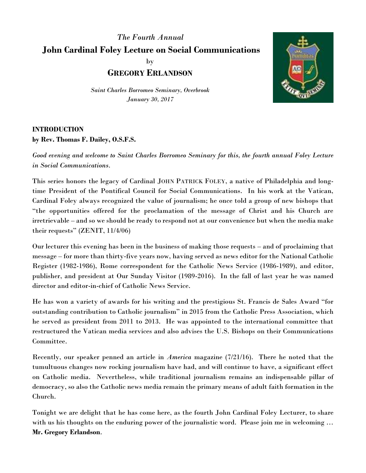## *The Fourth Annual* **John Cardinal Foley Lecture on Social Communications** by **GREGORY ERLANDSON**

*Saint Charles Borromeo Seminary, Overbrook January 30, 2017*



## **INTRODUCTION by Rev. Thomas F. Dailey, O.S.F.S.**

*Good evening and welcome to Saint Charles Borromeo Seminary for this, the fourth annual Foley Lecture in Social Communications.*

This series honors the legacy of Cardinal JOHN PATRICK FOLEY, a native of Philadelphia and longtime President of the Pontifical Council for Social Communications. In his work at the Vatican, Cardinal Foley always recognized the value of journalism; he once told a group of new bishops that "the opportunities offered for the proclamation of the message of Christ and his Church are irretrievable – and so we should be ready to respond not at our convenience but when the media make their requests" (ZENIT, 11/4/06)

Our lecturer this evening has been in the business of making those requests – and of proclaiming that message – for more than thirty-five years now, having served as news editor for the National Catholic Register (1982-1986), Rome correspondent for the Catholic News Service (1986-1989), and editor, publisher, and president at Our Sunday Visitor (1989-2016). In the fall of last year he was named director and editor-in-chief of Catholic News Service.

He has won a variety of awards for his writing and the prestigious St. Francis de Sales Award "for outstanding contribution to Catholic journalism" in 2015 from the Catholic Press Association, which he served as president from 2011 to 2013. He was appointed to the international committee that restructured the Vatican media services and also advises the U.S. Bishops on their Communications Committee.

Recently, our speaker penned an article in *America* magazine (7/21/16). There he noted that the tumultuous changes now rocking journalism have had, and will continue to have, a significant effect on Catholic media. Nevertheless, while traditional journalism remains an indispensable pillar of democracy, so also the Catholic news media remain the primary means of adult faith formation in the Church.

Tonight we are delight that he has come here, as the fourth John Cardinal Foley Lecturer, to share with us his thoughts on the enduring power of the journalistic word. Please join me in welcoming ... **Mr. Gregory Erlandson**.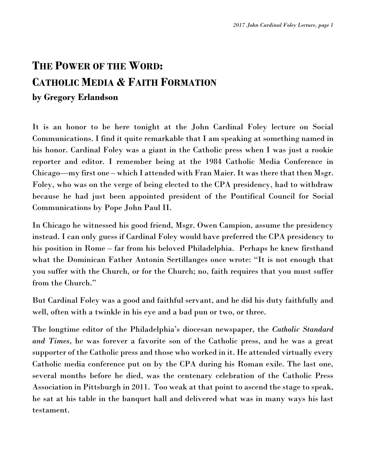## **THE POWER OF THE WORD: CATHOLIC MEDIA & FAITH FORMATION by Gregory Erlandson**

It is an honor to be here tonight at the John Cardinal Foley lecture on Social Communications. I find it quite remarkable that I am speaking at something named in his honor. Cardinal Foley was a giant in the Catholic press when I was just a rookie reporter and editor. I remember being at the 1984 Catholic Media Conference in Chicago—my first one – which I attended with Fran Maier. It was there that then Msgr. Foley, who was on the verge of being elected to the CPA presidency, had to withdraw because he had just been appointed president of the Pontifical Council for Social Communications by Pope John Paul II.

In Chicago he witnessed his good friend, Msgr. Owen Campion, assume the presidency instead. I can only guess if Cardinal Foley would have preferred the CPA presidency to his position in Rome – far from his beloved Philadelphia. Perhaps he knew firsthand what the Dominican Father Antonin Sertillanges once wrote: "It is not enough that you suffer with the Church, or for the Church; no, faith requires that you must suffer from the Church."

But Cardinal Foley was a good and faithful servant, and he did his duty faithfully and well, often with a twinkle in his eye and a bad pun or two, or three.

The longtime editor of the Philadelphia's diocesan newspaper, the *Catholic Standard and Times*, he was forever a favorite son of the Catholic press, and he was a great supporter of the Catholic press and those who worked in it. He attended virtually every Catholic media conference put on by the CPA during his Roman exile. The last one, several months before he died, was the centenary celebration of the Catholic Press Association in Pittsburgh in 2011. Too weak at that point to ascend the stage to speak, he sat at his table in the banquet hall and delivered what was in many ways his last testament.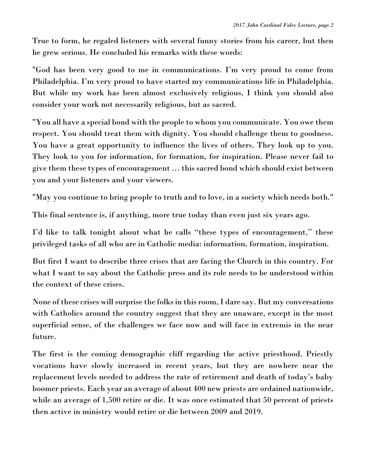True to form, he regaled listeners with several funny stories from his career, but then he grew serious. He concluded his remarks with these words:

"God has been very good to me in communications. I'm very proud to come from Philadelphia. I'm very proud to have started my communications life in Philadelphia. But while my work has been almost exclusively religious, I think you should also consider your work not necessarily religious, but as sacred.

"You all have a special bond with the people to whom you communicate. You owe them respect. You should treat them with dignity. You should challenge them to goodness. You have a great opportunity to influence the lives of others. They look up to you. They look to you for information, for formation, for inspiration. Please never fail to give them these types of encouragement … this sacred bond which should exist between you and your listeners and your viewers.

"May you continue to bring people to truth and to love, in a society which needs both."

This final sentence is, if anything, more true today than even just six years ago.

I'd like to talk tonight about what he calls "these types of encouragement," these privileged tasks of all who are in Catholic media: information, formation, inspiration.

But first I want to describe three crises that are facing the Church in this country. For what I want to say about the Catholic press and its role needs to be understood within the context of these crises.

None of these crises will surprise the folks in this room, I dare say. But my conversations with Catholics around the country suggest that they are unaware, except in the most superficial sense, of the challenges we face now and will face in extremis in the near future.

The first is the coming demographic cliff regarding the active priesthood. Priestly vocations have slowly increased in recent years, but they are nowhere near the replacement levels needed to address the rate of retirement and death of today's baby boomer priests. Each year an average of about 400 new priests are ordained nationwide, while an average of 1,500 retire or die. It was once estimated that 50 percent of priests then active in ministry would retire or die between 2009 and 2019.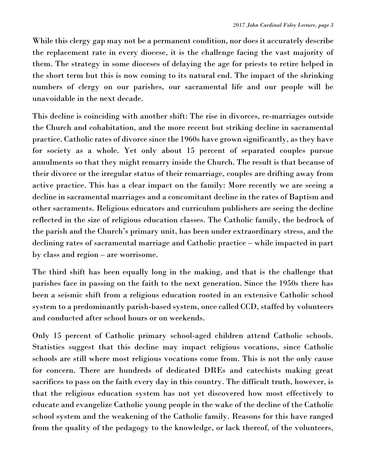While this clergy gap may not be a permanent condition, nor does it accurately describe the replacement rate in every diocese, it is the challenge facing the vast majority of them. The strategy in some dioceses of delaying the age for priests to retire helped in the short term but this is now coming to its natural end. The impact of the shrinking numbers of clergy on our parishes, our sacramental life and our people will be unavoidable in the next decade.

This decline is coinciding with another shift: The rise in divorces, re-marriages outside the Church and cohabitation, and the more recent but striking decline in sacramental practice. Catholic rates of divorce since the 1960s have grown significantly, as they have for society as a whole. Yet only about 15 percent of separated couples pursue annulments so that they might remarry inside the Church. The result is that because of their divorce or the irregular status of their remarriage, couples are drifting away from active practice. This has a clear impact on the family: More recently we are seeing a decline in sacramental marriages and a concomitant decline in the rates of Baptism and other sacraments. Religious educators and curriculum publishers are seeing the decline reflected in the size of religious education classes. The Catholic family, the bedrock of the parish and the Church's primary unit, has been under extraordinary stress, and the declining rates of sacramental marriage and Catholic practice – while impacted in part by class and region – are worrisome.

The third shift has been equally long in the making, and that is the challenge that parishes face in passing on the faith to the next generation. Since the 1950s there has been a seismic shift from a religious education rooted in an extensive Catholic school system to a predominantly parish-based system, once called CCD, staffed by volunteers and conducted after school hours or on weekends.

Only 15 percent of Catholic primary school-aged children attend Catholic schools. Statistics suggest that this decline may impact religious vocations, since Catholic schools are still where most religious vocations come from. This is not the only cause for concern. There are hundreds of dedicated DREs and catechists making great sacrifices to pass on the faith every day in this country. The difficult truth, however, is that the religious education system has not yet discovered how most effectively to educate and evangelize Catholic young people in the wake of the decline of the Catholic school system and the weakening of the Catholic family. Reasons for this have ranged from the quality of the pedagogy to the knowledge, or lack thereof, of the volunteers,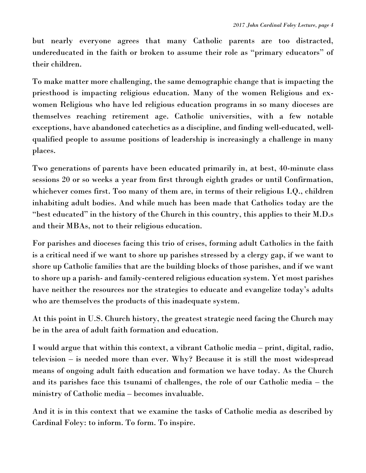but nearly everyone agrees that many Catholic parents are too distracted, undereducated in the faith or broken to assume their role as "primary educators" of their children.

To make matter more challenging, the same demographic change that is impacting the priesthood is impacting religious education. Many of the women Religious and exwomen Religious who have led religious education programs in so many dioceses are themselves reaching retirement age. Catholic universities, with a few notable exceptions, have abandoned catechetics as a discipline, and finding well-educated, wellqualified people to assume positions of leadership is increasingly a challenge in many places.

Two generations of parents have been educated primarily in, at best, 40-minute class sessions 20 or so weeks a year from first through eighth grades or until Confirmation, whichever comes first. Too many of them are, in terms of their religious I.Q., children inhabiting adult bodies. And while much has been made that Catholics today are the "best educated" in the history of the Church in this country, this applies to their M.D.s and their MBAs, not to their religious education.

For parishes and dioceses facing this trio of crises, forming adult Catholics in the faith is a critical need if we want to shore up parishes stressed by a clergy gap, if we want to shore up Catholic families that are the building blocks of those parishes, and if we want to shore up a parish- and family-centered religious education system. Yet most parishes have neither the resources nor the strategies to educate and evangelize today's adults who are themselves the products of this inadequate system.

At this point in U.S. Church history, the greatest strategic need facing the Church may be in the area of adult faith formation and education.

I would argue that within this context, a vibrant Catholic media – print, digital, radio, television – is needed more than ever. Why? Because it is still the most widespread means of ongoing adult faith education and formation we have today. As the Church and its parishes face this tsunami of challenges, the role of our Catholic media – the ministry of Catholic media – becomes invaluable.

And it is in this context that we examine the tasks of Catholic media as described by Cardinal Foley: to inform. To form. To inspire.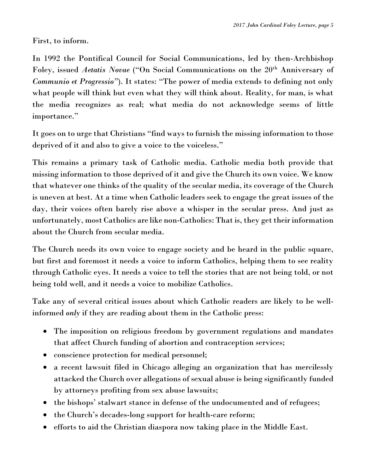First, to inform.

In 1992 the Pontifical Council for Social Communications, led by then-Archbishop Foley, issued *Aetatis Novae* ("On Social Communications on the 20<sup>th</sup> Anniversary of *Communio et Progressio"*). It states: "The power of media extends to defining not only what people will think but even what they will think about. Reality, for man, is what the media recognizes as real; what media do not acknowledge seems of little importance."

It goes on to urge that Christians "find ways to furnish the missing information to those deprived of it and also to give a voice to the voiceless."

This remains a primary task of Catholic media. Catholic media both provide that missing information to those deprived of it and give the Church its own voice. We know that whatever one thinks of the quality of the secular media, its coverage of the Church is uneven at best. At a time when Catholic leaders seek to engage the great issues of the day, their voices often barely rise above a whisper in the secular press. And just as unfortunately, most Catholics are like non-Catholics: That is, they get their information about the Church from secular media.

The Church needs its own voice to engage society and be heard in the public square, but first and foremost it needs a voice to inform Catholics, helping them to see reality through Catholic eyes. It needs a voice to tell the stories that are not being told, or not being told well, and it needs a voice to mobilize Catholics.

Take any of several critical issues about which Catholic readers are likely to be wellinformed *only* if they are reading about them in the Catholic press:

- The imposition on religious freedom by government regulations and mandates that affect Church funding of abortion and contraception services;
- conscience protection for medical personnel;
- a recent lawsuit filed in Chicago alleging an organization that has mercilessly attacked the Church over allegations of sexual abuse is being significantly funded by attorneys profiting from sex abuse lawsuits;
- the bishops' stalwart stance in defense of the undocumented and of refugees;
- the Church's decades-long support for health-care reform;
- efforts to aid the Christian diaspora now taking place in the Middle East.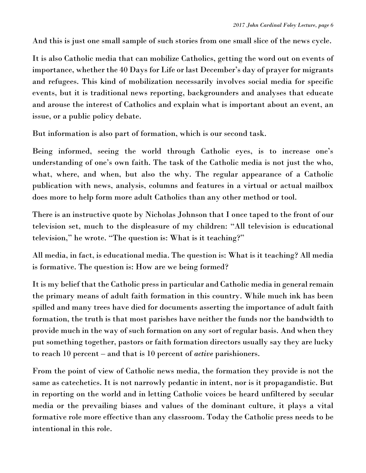And this is just one small sample of such stories from one small slice of the news cycle.

It is also Catholic media that can mobilize Catholics, getting the word out on events of importance, whether the 40 Days for Life or last December's day of prayer for migrants and refugees. This kind of mobilization necessarily involves social media for specific events, but it is traditional news reporting, backgrounders and analyses that educate and arouse the interest of Catholics and explain what is important about an event, an issue, or a public policy debate.

But information is also part of formation, which is our second task.

Being informed, seeing the world through Catholic eyes, is to increase one's understanding of one's own faith. The task of the Catholic media is not just the who, what, where, and when, but also the why. The regular appearance of a Catholic publication with news, analysis, columns and features in a virtual or actual mailbox does more to help form more adult Catholics than any other method or tool.

There is an instructive quote by Nicholas Johnson that I once taped to the front of our television set, much to the displeasure of my children: "All television is educational television," he wrote. "The question is: What is it teaching?"

All media, in fact, is educational media. The question is: What is it teaching? All media is formative. The question is: How are we being formed?

It is my belief that the Catholic press in particular and Catholic media in general remain the primary means of adult faith formation in this country. While much ink has been spilled and many trees have died for documents asserting the importance of adult faith formation, the truth is that most parishes have neither the funds nor the bandwidth to provide much in the way of such formation on any sort of regular basis. And when they put something together, pastors or faith formation directors usually say they are lucky to reach 10 percent – and that is 10 percent of *active* parishioners.

From the point of view of Catholic news media, the formation they provide is not the same as catechetics. It is not narrowly pedantic in intent, nor is it propagandistic. But in reporting on the world and in letting Catholic voices be heard unfiltered by secular media or the prevailing biases and values of the dominant culture, it plays a vital formative role more effective than any classroom. Today the Catholic press needs to be intentional in this role.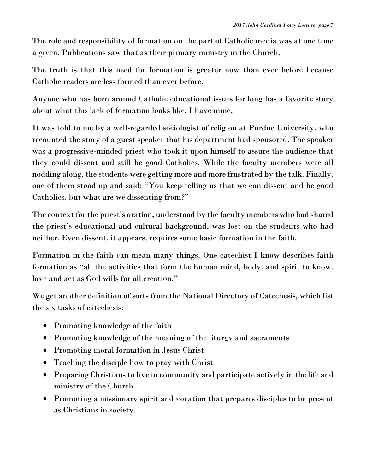The role and responsibility of formation on the part of Catholic media was at one time a given. Publications saw that as their primary ministry in the Church.

The truth is that this need for formation is greater now than ever before because Catholic readers are less formed than ever before.

Anyone who has been around Catholic educational issues for long has a favorite story about what this lack of formation looks like. I have mine.

It was told to me by a well-regarded sociologist of religion at Purdue University, who recounted the story of a guest speaker that his department had sponsored. The speaker was a progressive-minded priest who took it upon himself to assure the audience that they could dissent and still be good Catholics. While the faculty members were all nodding along, the students were getting more and more frustrated by the talk. Finally, one of them stood up and said: "You keep telling us that we can dissent and be good Catholics, but what are we dissenting from?"

The context for the priest's oration, understood by the faculty members who had shared the priest's educational and cultural background, was lost on the students who had neither. Even dissent, it appears, requires some basic formation in the faith.

Formation in the faith can mean many things. One catechist I know describes faith formation as "all the activities that form the human mind, body, and spirit to know, love and act as God wills for all creation."

We get another definition of sorts from the National Directory of Catechesis, which list the six tasks of catechesis:

- Promoting knowledge of the faith
- Promoting knowledge of the meaning of the liturgy and sacraments
- Promoting moral formation in Jesus Christ
- Teaching the disciple how to pray with Christ
- Preparing Christians to live in community and participate actively in the life and ministry of the Church
- Promoting a missionary spirit and vocation that prepares disciples to be present as Christians in society.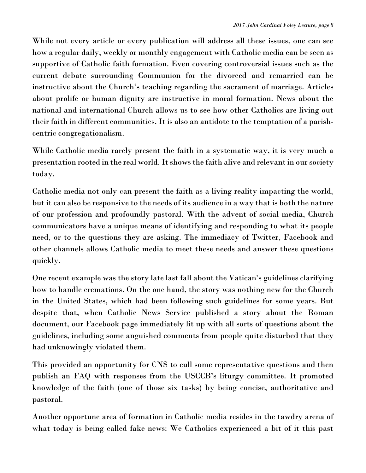While not every article or every publication will address all these issues, one can see how a regular daily, weekly or monthly engagement with Catholic media can be seen as supportive of Catholic faith formation. Even covering controversial issues such as the current debate surrounding Communion for the divorced and remarried can be instructive about the Church's teaching regarding the sacrament of marriage. Articles about prolife or human dignity are instructive in moral formation. News about the national and international Church allows us to see how other Catholics are living out their faith in different communities. It is also an antidote to the temptation of a parishcentric congregationalism.

While Catholic media rarely present the faith in a systematic way, it is very much a presentation rooted in the real world. It shows the faith alive and relevant in our society today.

Catholic media not only can present the faith as a living reality impacting the world, but it can also be responsive to the needs of its audience in a way that is both the nature of our profession and profoundly pastoral. With the advent of social media, Church communicators have a unique means of identifying and responding to what its people need, or to the questions they are asking. The immediacy of Twitter, Facebook and other channels allows Catholic media to meet these needs and answer these questions quickly.

One recent example was the story late last fall about the Vatican's guidelines clarifying how to handle cremations. On the one hand, the story was nothing new for the Church in the United States, which had been following such guidelines for some years. But despite that, when Catholic News Service published a story about the Roman document, our Facebook page immediately lit up with all sorts of questions about the guidelines, including some anguished comments from people quite disturbed that they had unknowingly violated them.

This provided an opportunity for CNS to cull some representative questions and then publish an FAQ with responses from the USCCB's liturgy committee. It promoted knowledge of the faith (one of those six tasks) by being concise, authoritative and pastoral.

Another opportune area of formation in Catholic media resides in the tawdry arena of what today is being called fake news: We Catholics experienced a bit of it this past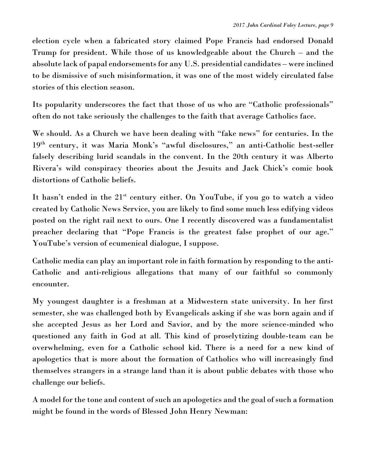election cycle when a fabricated story claimed Pope Francis had endorsed Donald Trump for president. While those of us knowledgeable about the Church – and the absolute lack of papal endorsements for any U.S. presidential candidates – were inclined to be dismissive of such misinformation, it was one of the most widely circulated false stories of this election season.

Its popularity underscores the fact that those of us who are "Catholic professionals" often do not take seriously the challenges to the faith that average Catholics face.

We should. As a Church we have been dealing with "fake news" for centuries. In the 19th century, it was Maria Monk's "awful disclosures," an anti-Catholic best-seller falsely describing lurid scandals in the convent. In the 20th century it was Alberto Rivera's wild conspiracy theories about the Jesuits and Jack Chick's comic book distortions of Catholic beliefs.

It hasn't ended in the 21<sup>st</sup> century either. On YouTube, if you go to watch a video created by Catholic News Service, you are likely to find some much less edifying videos posted on the right rail next to ours. One I recently discovered was a fundamentalist preacher declaring that "Pope Francis is the greatest false prophet of our age." YouTube's version of ecumenical dialogue, I suppose.

Catholic media can play an important role in faith formation by responding to the anti-Catholic and anti-religious allegations that many of our faithful so commonly encounter.

My youngest daughter is a freshman at a Midwestern state university. In her first semester, she was challenged both by Evangelicals asking if she was born again and if she accepted Jesus as her Lord and Savior, and by the more science-minded who questioned any faith in God at all. This kind of proselytizing double-team can be overwhelming, even for a Catholic school kid. There is a need for a new kind of apologetics that is more about the formation of Catholics who will increasingly find themselves strangers in a strange land than it is about public debates with those who challenge our beliefs.

A model for the tone and content of such an apologetics and the goal of such a formation might be found in the words of Blessed John Henry Newman: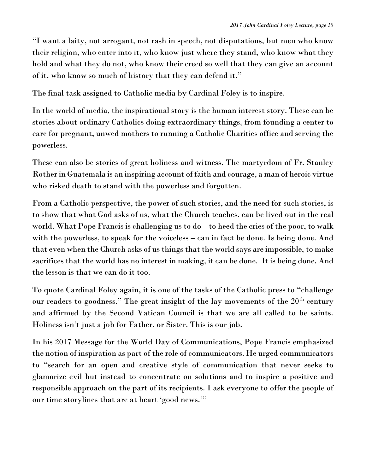"I want a laity, not arrogant, not rash in speech, not disputatious, but men who know their religion, who enter into it, who know just where they stand, who know what they hold and what they do not, who know their creed so well that they can give an account of it, who know so much of history that they can defend it."

The final task assigned to Catholic media by Cardinal Foley is to inspire.

In the world of media, the inspirational story is the human interest story. These can be stories about ordinary Catholics doing extraordinary things, from founding a center to care for pregnant, unwed mothers to running a Catholic Charities office and serving the powerless.

These can also be stories of great holiness and witness. The martyrdom of Fr. Stanley Rother in Guatemala is an inspiring account of faith and courage, a man of heroic virtue who risked death to stand with the powerless and forgotten.

From a Catholic perspective, the power of such stories, and the need for such stories, is to show that what God asks of us, what the Church teaches, can be lived out in the real world. What Pope Francis is challenging us to do – to heed the cries of the poor, to walk with the powerless, to speak for the voiceless – can in fact be done. Is being done. And that even when the Church asks of us things that the world says are impossible, to make sacrifices that the world has no interest in making, it can be done. It is being done. And the lesson is that we can do it too.

To quote Cardinal Foley again, it is one of the tasks of the Catholic press to "challenge our readers to goodness." The great insight of the lay movements of the  $20<sup>th</sup>$  century and affirmed by the Second Vatican Council is that we are all called to be saints. Holiness isn't just a job for Father, or Sister. This is our job.

In his 2017 Message for the World Day of Communications, Pope Francis emphasized the notion of inspiration as part of the role of communicators. He urged communicators to "search for an open and creative style of communication that never seeks to glamorize evil but instead to concentrate on solutions and to inspire a positive and responsible approach on the part of its recipients. I ask everyone to offer the people of our time storylines that are at heart 'good news.'"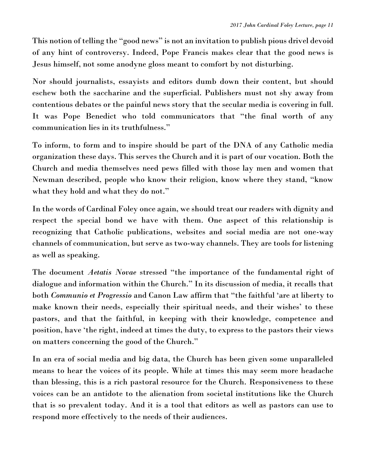This notion of telling the "good news" is not an invitation to publish pious drivel devoid of any hint of controversy. Indeed, Pope Francis makes clear that the good news is Jesus himself, not some anodyne gloss meant to comfort by not disturbing.

Nor should journalists, essayists and editors dumb down their content, but should eschew both the saccharine and the superficial. Publishers must not shy away from contentious debates or the painful news story that the secular media is covering in full. It was Pope Benedict who told communicators that "the final worth of any communication lies in its truthfulness."

To inform, to form and to inspire should be part of the DNA of any Catholic media organization these days. This serves the Church and it is part of our vocation. Both the Church and media themselves need pews filled with those lay men and women that Newman described, people who know their religion, know where they stand, "know what they hold and what they do not."

In the words of Cardinal Foley once again, we should treat our readers with dignity and respect the special bond we have with them. One aspect of this relationship is recognizing that Catholic publications, websites and social media are not one-way channels of communication, but serve as two-way channels. They are tools for listening as well as speaking.

The document *Aetatis Novae* stressed "the importance of the fundamental right of dialogue and information within the Church." In its discussion of media, it recalls that both *Communio et Progressio* and Canon Law affirm that "the faithful 'are at liberty to make known their needs, especially their spiritual needs, and their wishes' to these pastors, and that the faithful, in keeping with their knowledge, competence and position, have 'the right, indeed at times the duty, to express to the pastors their views on matters concerning the good of the Church."

In an era of social media and big data, the Church has been given some unparalleled means to hear the voices of its people. While at times this may seem more headache than blessing, this is a rich pastoral resource for the Church. Responsiveness to these voices can be an antidote to the alienation from societal institutions like the Church that is so prevalent today. And it is a tool that editors as well as pastors can use to respond more effectively to the needs of their audiences.